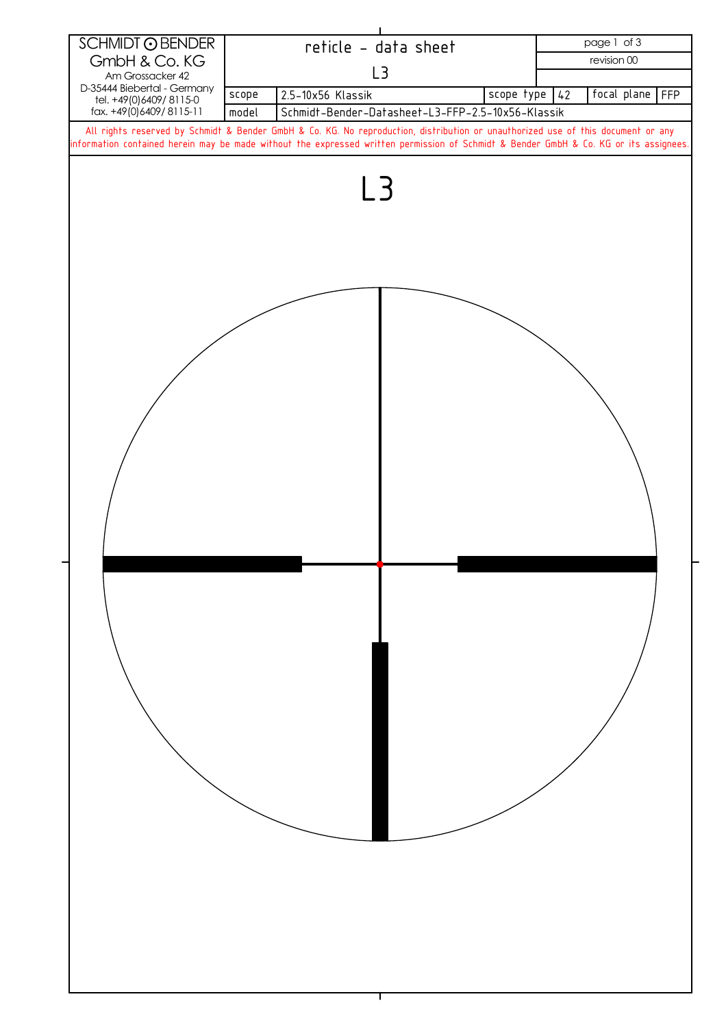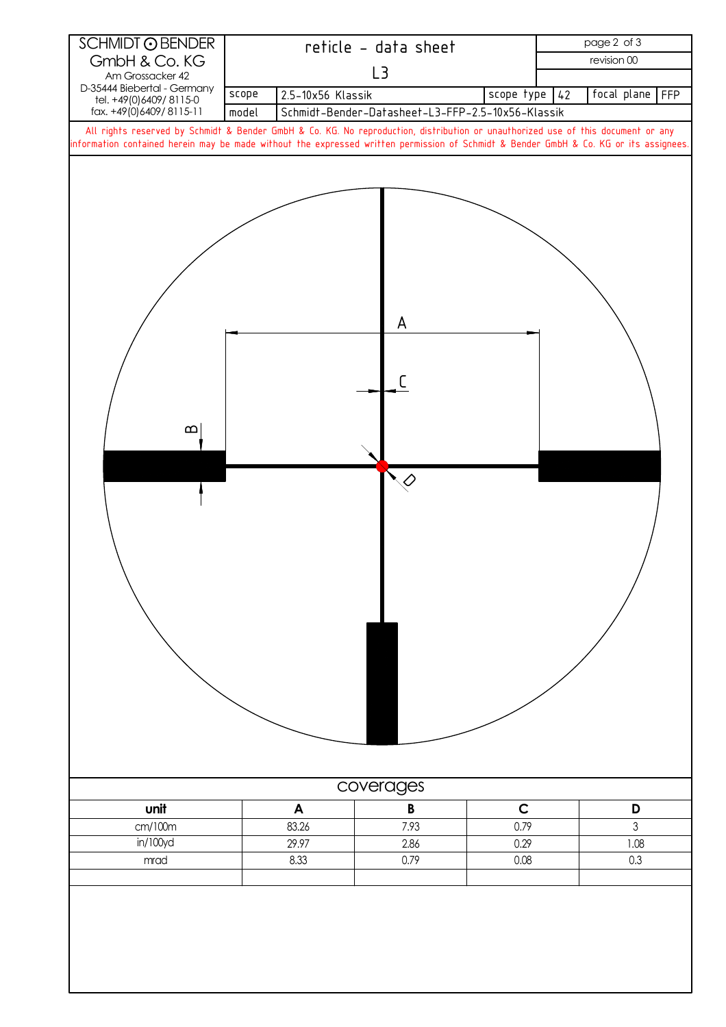